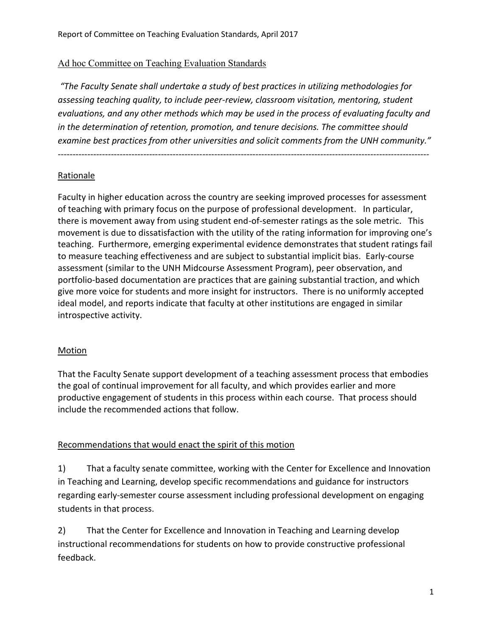## Ad hoc Committee on Teaching Evaluation Standards

*"The Faculty Senate shall undertake a study of best practices in utilizing methodologies for assessing teaching quality, to include peer-review, classroom visitation, mentoring, student evaluations, and any other methods which may be used in the process of evaluating faculty and in the determination of retention, promotion, and tenure decisions. The committee should examine best practices from other universities and solicit comments from the UNH community."*

------------------------------------------------------------------------------------------------------------------------------

## Rationale

Faculty in higher education across the country are seeking improved processes for assessment of teaching with primary focus on the purpose of professional development. In particular, there is movement away from using student end-of-semester ratings as the sole metric. This movement is due to dissatisfaction with the utility of the rating information for improving one's teaching. Furthermore, emerging experimental evidence demonstrates that student ratings fail to measure teaching effectiveness and are subject to substantial implicit bias. Early-course assessment (similar to the UNH Midcourse Assessment Program), peer observation, and portfolio-based documentation are practices that are gaining substantial traction, and which give more voice for students and more insight for instructors. There is no uniformly accepted ideal model, and reports indicate that faculty at other institutions are engaged in similar introspective activity.

## **Motion**

That the Faculty Senate support development of a teaching assessment process that embodies the goal of continual improvement for all faculty, and which provides earlier and more productive engagement of students in this process within each course. That process should include the recommended actions that follow.

## Recommendations that would enact the spirit of this motion

1) That a faculty senate committee, working with the Center for Excellence and Innovation in Teaching and Learning, develop specific recommendations and guidance for instructors regarding early-semester course assessment including professional development on engaging students in that process.

2) That the Center for Excellence and Innovation in Teaching and Learning develop instructional recommendations for students on how to provide constructive professional feedback.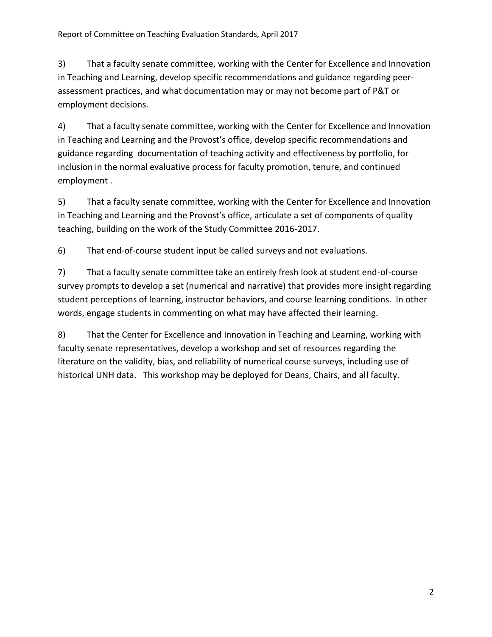3) That a faculty senate committee, working with the Center for Excellence and Innovation in Teaching and Learning, develop specific recommendations and guidance regarding peerassessment practices, and what documentation may or may not become part of P&T or employment decisions.

4) That a faculty senate committee, working with the Center for Excellence and Innovation in Teaching and Learning and the Provost's office, develop specific recommendations and guidance regarding documentation of teaching activity and effectiveness by portfolio, for inclusion in the normal evaluative process for faculty promotion, tenure, and continued employment .

5) That a faculty senate committee, working with the Center for Excellence and Innovation in Teaching and Learning and the Provost's office, articulate a set of components of quality teaching, building on the work of the Study Committee 2016-2017.

6) That end-of-course student input be called surveys and not evaluations.

7) That a faculty senate committee take an entirely fresh look at student end-of-course survey prompts to develop a set (numerical and narrative) that provides more insight regarding student perceptions of learning, instructor behaviors, and course learning conditions. In other words, engage students in commenting on what may have affected their learning.

8) That the Center for Excellence and Innovation in Teaching and Learning, working with faculty senate representatives, develop a workshop and set of resources regarding the literature on the validity, bias, and reliability of numerical course surveys, including use of historical UNH data. This workshop may be deployed for Deans, Chairs, and all faculty.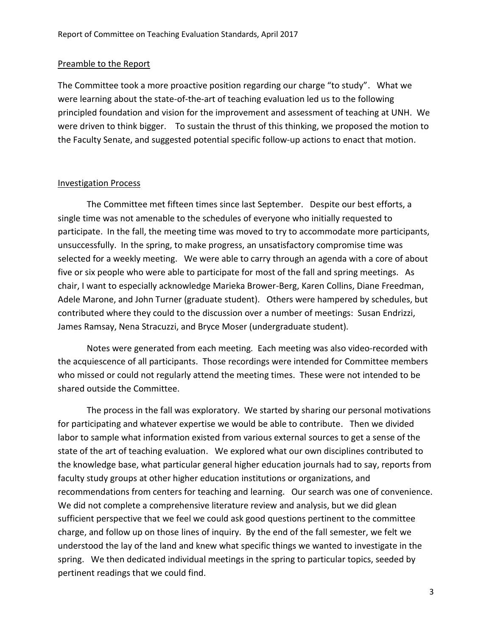### Preamble to the Report

The Committee took a more proactive position regarding our charge "to study". What we were learning about the state-of-the-art of teaching evaluation led us to the following principled foundation and vision for the improvement and assessment of teaching at UNH. We were driven to think bigger. To sustain the thrust of this thinking, we proposed the motion to the Faculty Senate, and suggested potential specific follow-up actions to enact that motion.

### Investigation Process

 The Committee met fifteen times since last September. Despite our best efforts, a single time was not amenable to the schedules of everyone who initially requested to participate. In the fall, the meeting time was moved to try to accommodate more participants, unsuccessfully. In the spring, to make progress, an unsatisfactory compromise time was selected for a weekly meeting. We were able to carry through an agenda with a core of about five or six people who were able to participate for most of the fall and spring meetings. As chair, I want to especially acknowledge Marieka Brower-Berg, Karen Collins, Diane Freedman, Adele Marone, and John Turner (graduate student). Others were hampered by schedules, but contributed where they could to the discussion over a number of meetings: Susan Endrizzi, James Ramsay, Nena Stracuzzi, and Bryce Moser (undergraduate student).

 Notes were generated from each meeting*.* Each meeting was also video-recorded with the acquiescence of all participants. Those recordings were intended for Committee members who missed or could not regularly attend the meeting times. These were not intended to be shared outside the Committee.

 The process in the fall was exploratory. We started by sharing our personal motivations for participating and whatever expertise we would be able to contribute. Then we divided labor to sample what information existed from various external sources to get a sense of the state of the art of teaching evaluation. We explored what our own disciplines contributed to the knowledge base, what particular general higher education journals had to say, reports from faculty study groups at other higher education institutions or organizations, and recommendations from centers for teaching and learning. Our search was one of convenience. We did not complete a comprehensive literature review and analysis, but we did glean sufficient perspective that we feel we could ask good questions pertinent to the committee charge, and follow up on those lines of inquiry. By the end of the fall semester, we felt we understood the lay of the land and knew what specific things we wanted to investigate in the spring. We then dedicated individual meetings in the spring to particular topics, seeded by pertinent readings that we could find.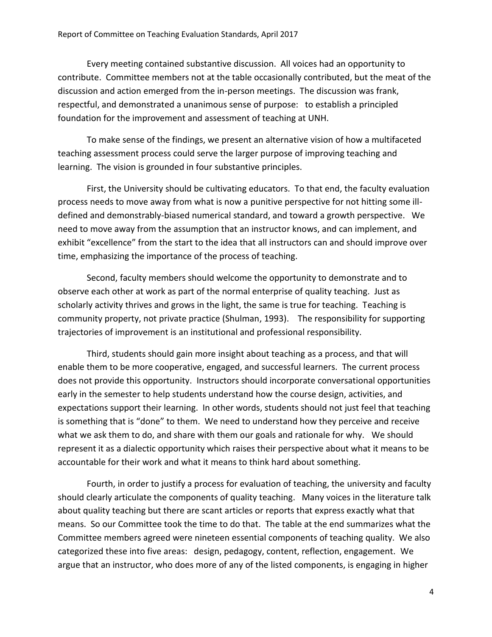Every meeting contained substantive discussion. All voices had an opportunity to contribute. Committee members not at the table occasionally contributed, but the meat of the discussion and action emerged from the in-person meetings. The discussion was frank, respectful, and demonstrated a unanimous sense of purpose: to establish a principled foundation for the improvement and assessment of teaching at UNH.

 To make sense of the findings, we present an alternative vision of how a multifaceted teaching assessment process could serve the larger purpose of improving teaching and learning. The vision is grounded in four substantive principles.

 First, the University should be cultivating educators. To that end, the faculty evaluation process needs to move away from what is now a punitive perspective for not hitting some illdefined and demonstrably-biased numerical standard, and toward a growth perspective. We need to move away from the assumption that an instructor knows, and can implement, and exhibit "excellence" from the start to the idea that all instructors can and should improve over time, emphasizing the importance of the process of teaching.

 Second, faculty members should welcome the opportunity to demonstrate and to observe each other at work as part of the normal enterprise of quality teaching. Just as scholarly activity thrives and grows in the light, the same is true for teaching. Teaching is community property, not private practice (Shulman, 1993). The responsibility for supporting trajectories of improvement is an institutional and professional responsibility.

 Third, students should gain more insight about teaching as a process, and that will enable them to be more cooperative, engaged, and successful learners. The current process does not provide this opportunity. Instructors should incorporate conversational opportunities early in the semester to help students understand how the course design, activities, and expectations support their learning. In other words, students should not just feel that teaching is something that is "done" to them. We need to understand how they perceive and receive what we ask them to do, and share with them our goals and rationale for why. We should represent it as a dialectic opportunity which raises their perspective about what it means to be accountable for their work and what it means to think hard about something.

 Fourth, in order to justify a process for evaluation of teaching, the university and faculty should clearly articulate the components of quality teaching. Many voices in the literature talk about quality teaching but there are scant articles or reports that express exactly what that means. So our Committee took the time to do that. The table at the end summarizes what the Committee members agreed were nineteen essential components of teaching quality. We also categorized these into five areas: design, pedagogy, content, reflection, engagement. We argue that an instructor, who does more of any of the listed components, is engaging in higher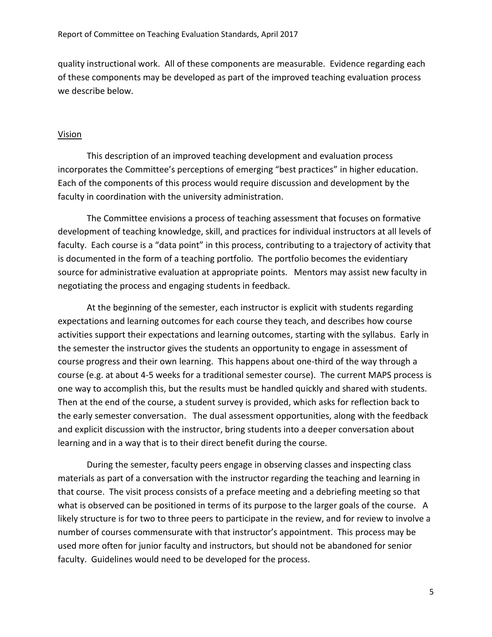quality instructional work. All of these components are measurable. Evidence regarding each of these components may be developed as part of the improved teaching evaluation process we describe below.

#### Vision

 This description of an improved teaching development and evaluation process incorporates the Committee's perceptions of emerging "best practices" in higher education. Each of the components of this process would require discussion and development by the faculty in coordination with the university administration.

 The Committee envisions a process of teaching assessment that focuses on formative development of teaching knowledge, skill, and practices for individual instructors at all levels of faculty. Each course is a "data point" in this process, contributing to a trajectory of activity that is documented in the form of a teaching portfolio. The portfolio becomes the evidentiary source for administrative evaluation at appropriate points. Mentors may assist new faculty in negotiating the process and engaging students in feedback.

 At the beginning of the semester, each instructor is explicit with students regarding expectations and learning outcomes for each course they teach, and describes how course activities support their expectations and learning outcomes, starting with the syllabus. Early in the semester the instructor gives the students an opportunity to engage in assessment of course progress and their own learning. This happens about one-third of the way through a course (e.g. at about 4-5 weeks for a traditional semester course). The current MAPS process is one way to accomplish this, but the results must be handled quickly and shared with students. Then at the end of the course, a student survey is provided, which asks for reflection back to the early semester conversation. The dual assessment opportunities, along with the feedback and explicit discussion with the instructor, bring students into a deeper conversation about learning and in a way that is to their direct benefit during the course.

 During the semester, faculty peers engage in observing classes and inspecting class materials as part of a conversation with the instructor regarding the teaching and learning in that course. The visit process consists of a preface meeting and a debriefing meeting so that what is observed can be positioned in terms of its purpose to the larger goals of the course. A likely structure is for two to three peers to participate in the review, and for review to involve a number of courses commensurate with that instructor's appointment. This process may be used more often for junior faculty and instructors, but should not be abandoned for senior faculty. Guidelines would need to be developed for the process.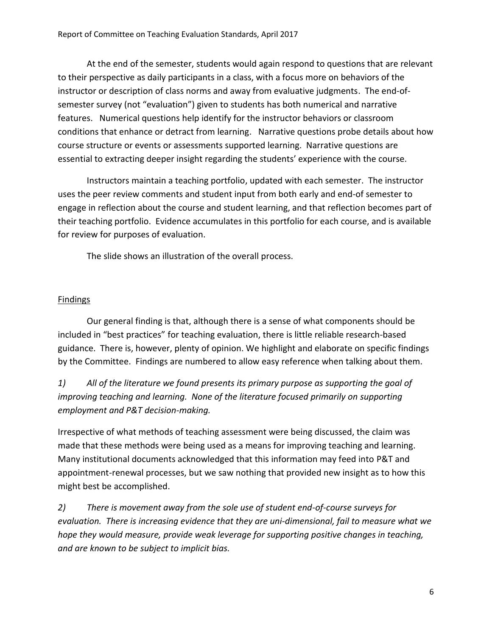At the end of the semester, students would again respond to questions that are relevant to their perspective as daily participants in a class, with a focus more on behaviors of the instructor or description of class norms and away from evaluative judgments. The end-ofsemester survey (not "evaluation") given to students has both numerical and narrative features. Numerical questions help identify for the instructor behaviors or classroom conditions that enhance or detract from learning. Narrative questions probe details about how course structure or events or assessments supported learning. Narrative questions are essential to extracting deeper insight regarding the students' experience with the course.

 Instructors maintain a teaching portfolio, updated with each semester. The instructor uses the peer review comments and student input from both early and end-of semester to engage in reflection about the course and student learning, and that reflection becomes part of their teaching portfolio. Evidence accumulates in this portfolio for each course, and is available for review for purposes of evaluation.

The slide shows an illustration of the overall process.

## **Findings**

 Our general finding is that, although there is a sense of what components should be included in "best practices" for teaching evaluation, there is little reliable research-based guidance. There is, however, plenty of opinion. We highlight and elaborate on specific findings by the Committee. Findings are numbered to allow easy reference when talking about them.

*1) All of the literature we found presents its primary purpose as supporting the goal of improving teaching and learning. None of the literature focused primarily on supporting employment and P&T decision-making.* 

Irrespective of what methods of teaching assessment were being discussed, the claim was made that these methods were being used as a means for improving teaching and learning. Many institutional documents acknowledged that this information may feed into P&T and appointment-renewal processes, but we saw nothing that provided new insight as to how this might best be accomplished.

*2) There is movement away from the sole use of student end-of-course surveys for evaluation. There is increasing evidence that they are uni-dimensional, fail to measure what we hope they would measure, provide weak leverage for supporting positive changes in teaching, and are known to be subject to implicit bias.*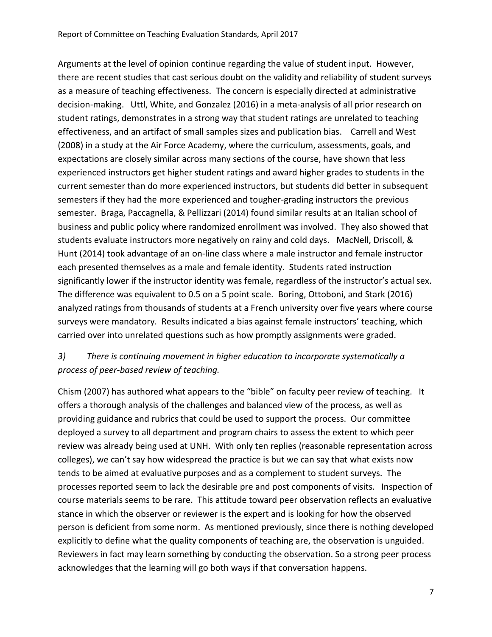Arguments at the level of opinion continue regarding the value of student input. However, there are recent studies that cast serious doubt on the validity and reliability of student surveys as a measure of teaching effectiveness. The concern is especially directed at administrative decision-making. Uttl, White, and Gonzalez (2016) in a meta-analysis of all prior research on student ratings, demonstrates in a strong way that student ratings are unrelated to teaching effectiveness, and an artifact of small samples sizes and publication bias. Carrell and West (2008) in a study at the Air Force Academy, where the curriculum, assessments, goals, and expectations are closely similar across many sections of the course, have shown that less experienced instructors get higher student ratings and award higher grades to students in the current semester than do more experienced instructors, but students did better in subsequent semesters if they had the more experienced and tougher-grading instructors the previous semester. Braga, Paccagnella, & Pellizzari (2014) found similar results at an Italian school of business and public policy where randomized enrollment was involved. They also showed that students evaluate instructors more negatively on rainy and cold days. MacNell, Driscoll, & Hunt (2014) took advantage of an on-line class where a male instructor and female instructor each presented themselves as a male and female identity. Students rated instruction significantly lower if the instructor identity was female, regardless of the instructor's actual sex. The difference was equivalent to 0.5 on a 5 point scale. Boring, Ottoboni, and Stark (2016) analyzed ratings from thousands of students at a French university over five years where course surveys were mandatory. Results indicated a bias against female instructors' teaching, which carried over into unrelated questions such as how promptly assignments were graded.

# *3) There is continuing movement in higher education to incorporate systematically a process of peer-based review of teaching.*

Chism (2007) has authored what appears to the "bible" on faculty peer review of teaching. It offers a thorough analysis of the challenges and balanced view of the process, as well as providing guidance and rubrics that could be used to support the process. Our committee deployed a survey to all department and program chairs to assess the extent to which peer review was already being used at UNH. With only ten replies (reasonable representation across colleges), we can't say how widespread the practice is but we can say that what exists now tends to be aimed at evaluative purposes and as a complement to student surveys. The processes reported seem to lack the desirable pre and post components of visits. Inspection of course materials seems to be rare. This attitude toward peer observation reflects an evaluative stance in which the observer or reviewer is the expert and is looking for how the observed person is deficient from some norm. As mentioned previously, since there is nothing developed explicitly to define what the quality components of teaching are, the observation is unguided. Reviewers in fact may learn something by conducting the observation. So a strong peer process acknowledges that the learning will go both ways if that conversation happens.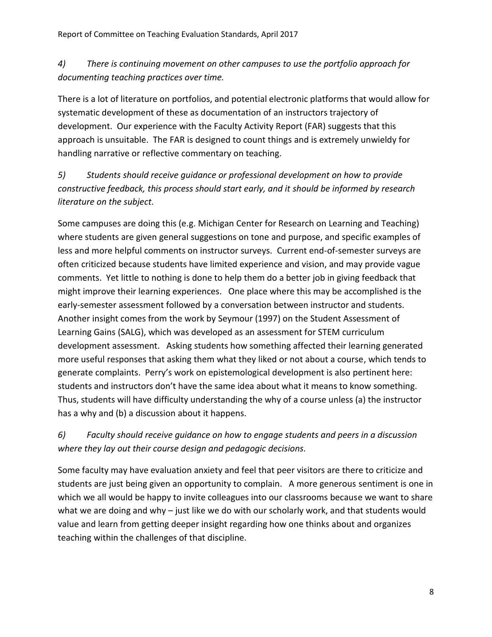# *4) There is continuing movement on other campuses to use the portfolio approach for documenting teaching practices over time.*

There is a lot of literature on portfolios, and potential electronic platforms that would allow for systematic development of these as documentation of an instructors trajectory of development. Our experience with the Faculty Activity Report (FAR) suggests that this approach is unsuitable. The FAR is designed to count things and is extremely unwieldy for handling narrative or reflective commentary on teaching.

*5) Students should receive guidance or professional development on how to provide constructive feedback, this process should start early, and it should be informed by research literature on the subject.* 

Some campuses are doing this (e.g. Michigan Center for Research on Learning and Teaching) where students are given general suggestions on tone and purpose, and specific examples of less and more helpful comments on instructor surveys. Current end-of-semester surveys are often criticized because students have limited experience and vision, and may provide vague comments. Yet little to nothing is done to help them do a better job in giving feedback that might improve their learning experiences. One place where this may be accomplished is the early-semester assessment followed by a conversation between instructor and students. Another insight comes from the work by Seymour (1997) on the Student Assessment of Learning Gains (SALG), which was developed as an assessment for STEM curriculum development assessment. Asking students how something affected their learning generated more useful responses that asking them what they liked or not about a course, which tends to generate complaints. Perry's work on epistemological development is also pertinent here: students and instructors don't have the same idea about what it means to know something. Thus, students will have difficulty understanding the why of a course unless (a) the instructor has a why and (b) a discussion about it happens.

# *6) Faculty should receive guidance on how to engage students and peers in a discussion where they lay out their course design and pedagogic decisions.*

Some faculty may have evaluation anxiety and feel that peer visitors are there to criticize and students are just being given an opportunity to complain. A more generous sentiment is one in which we all would be happy to invite colleagues into our classrooms because we want to share what we are doing and why – just like we do with our scholarly work, and that students would value and learn from getting deeper insight regarding how one thinks about and organizes teaching within the challenges of that discipline.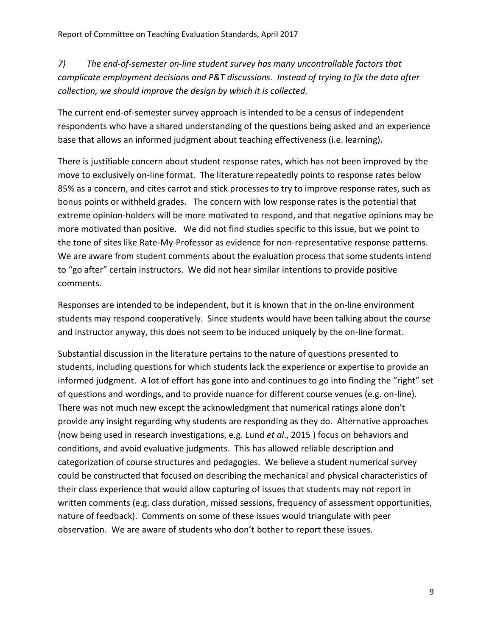*7) The end-of-semester on-line student survey has many uncontrollable factors that complicate employment decisions and P&T discussions. Instead of trying to fix the data after collection, we should improve the design by which it is collected.* 

The current end-of-semester survey approach is intended to be a census of independent respondents who have a shared understanding of the questions being asked and an experience base that allows an informed judgment about teaching effectiveness (i.e. learning).

There is justifiable concern about student response rates, which has not been improved by the move to exclusively on-line format. The literature repeatedly points to response rates below 85% as a concern, and cites carrot and stick processes to try to improve response rates, such as bonus points or withheld grades. The concern with low response rates is the potential that extreme opinion-holders will be more motivated to respond, and that negative opinions may be more motivated than positive. We did not find studies specific to this issue, but we point to the tone of sites like Rate-My-Professor as evidence for non-representative response patterns. We are aware from student comments about the evaluation process that some students intend to "go after" certain instructors. We did not hear similar intentions to provide positive comments.

Responses are intended to be independent, but it is known that in the on-line environment students may respond cooperatively. Since students would have been talking about the course and instructor anyway, this does not seem to be induced uniquely by the on-line format.

Substantial discussion in the literature pertains to the nature of questions presented to students, including questions for which students lack the experience or expertise to provide an informed judgment. A lot of effort has gone into and continues to go into finding the "right" set of questions and wordings, and to provide nuance for different course venues (e.g. on-line). There was not much new except the acknowledgment that numerical ratings alone don't provide any insight regarding why students are responding as they do. Alternative approaches (now being used in research investigations, e.g. Lund *et al*., 2015 ) focus on behaviors and conditions, and avoid evaluative judgments. This has allowed reliable description and categorization of course structures and pedagogies. We believe a student numerical survey could be constructed that focused on describing the mechanical and physical characteristics of their class experience that would allow capturing of issues that students may not report in written comments (e.g. class duration, missed sessions, frequency of assessment opportunities, nature of feedback). Comments on some of these issues would triangulate with peer observation. We are aware of students who don't bother to report these issues.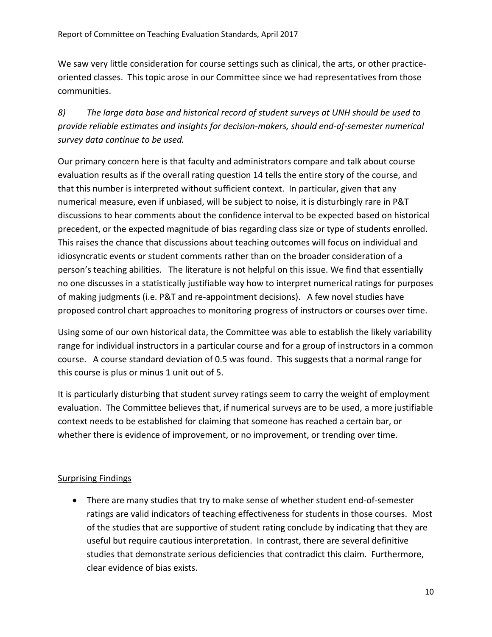We saw very little consideration for course settings such as clinical, the arts, or other practiceoriented classes. This topic arose in our Committee since we had representatives from those communities.

*8) The large data base and historical record of student surveys at UNH should be used to provide reliable estimates and insights for decision-makers, should end-of-semester numerical survey data continue to be used.* 

Our primary concern here is that faculty and administrators compare and talk about course evaluation results as if the overall rating question 14 tells the entire story of the course, and that this number is interpreted without sufficient context. In particular, given that any numerical measure, even if unbiased, will be subject to noise, it is disturbingly rare in P&T discussions to hear comments about the confidence interval to be expected based on historical precedent, or the expected magnitude of bias regarding class size or type of students enrolled. This raises the chance that discussions about teaching outcomes will focus on individual and idiosyncratic events or student comments rather than on the broader consideration of a person's teaching abilities. The literature is not helpful on this issue. We find that essentially no one discusses in a statistically justifiable way how to interpret numerical ratings for purposes of making judgments (i.e. P&T and re-appointment decisions). A few novel studies have proposed control chart approaches to monitoring progress of instructors or courses over time.

Using some of our own historical data, the Committee was able to establish the likely variability range for individual instructors in a particular course and for a group of instructors in a common course. A course standard deviation of 0.5 was found. This suggests that a normal range for this course is plus or minus 1 unit out of 5.

It is particularly disturbing that student survey ratings seem to carry the weight of employment evaluation. The Committee believes that, if numerical surveys are to be used, a more justifiable context needs to be established for claiming that someone has reached a certain bar, or whether there is evidence of improvement, or no improvement, or trending over time.

# Surprising Findings

 There are many studies that try to make sense of whether student end-of-semester ratings are valid indicators of teaching effectiveness for students in those courses. Most of the studies that are supportive of student rating conclude by indicating that they are useful but require cautious interpretation. In contrast, there are several definitive studies that demonstrate serious deficiencies that contradict this claim. Furthermore, clear evidence of bias exists.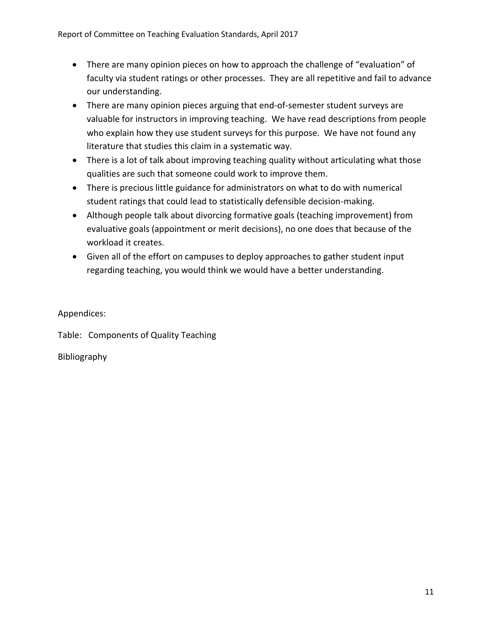- There are many opinion pieces on how to approach the challenge of "evaluation" of faculty via student ratings or other processes. They are all repetitive and fail to advance our understanding.
- There are many opinion pieces arguing that end-of-semester student surveys are valuable for instructors in improving teaching. We have read descriptions from people who explain how they use student surveys for this purpose. We have not found any literature that studies this claim in a systematic way.
- There is a lot of talk about improving teaching quality without articulating what those qualities are such that someone could work to improve them.
- There is precious little guidance for administrators on what to do with numerical student ratings that could lead to statistically defensible decision-making.
- Although people talk about divorcing formative goals (teaching improvement) from evaluative goals (appointment or merit decisions), no one does that because of the workload it creates.
- Given all of the effort on campuses to deploy approaches to gather student input regarding teaching, you would think we would have a better understanding.

Appendices:

Table: Components of Quality Teaching

Bibliography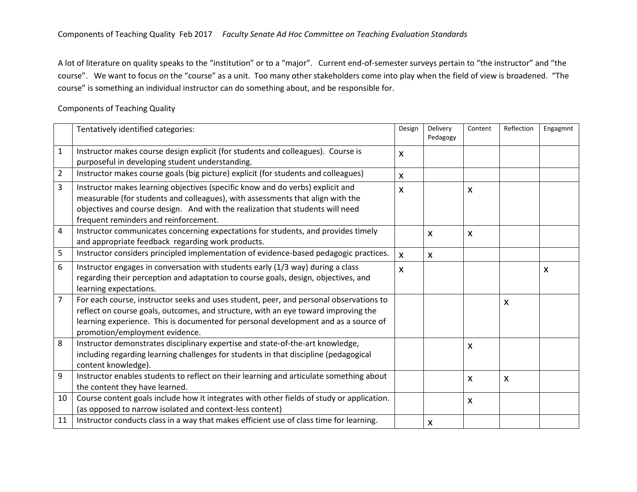A lot of literature on quality speaks to the "institution" or to a "major". Current end-of-semester surveys pertain to "the instructor" and "the course". We want to focus on the "course" as a unit. Too many other stakeholders come into play when the field of view is broadened. "The course" is something an individual instructor can do something about, and be responsible for.

### Components of Teaching Quality

|                | Tentatively identified categories:                                                                                                                                                                                                                                                                    | Design       | Delivery<br>Pedagogy | Content      | Reflection                | Engagmnt                  |
|----------------|-------------------------------------------------------------------------------------------------------------------------------------------------------------------------------------------------------------------------------------------------------------------------------------------------------|--------------|----------------------|--------------|---------------------------|---------------------------|
| $\mathbf{1}$   | Instructor makes course design explicit (for students and colleagues). Course is<br>purposeful in developing student understanding.                                                                                                                                                                   | X            |                      |              |                           |                           |
| $\overline{2}$ | Instructor makes course goals (big picture) explicit (for students and colleagues)                                                                                                                                                                                                                    | $\mathsf{x}$ |                      |              |                           |                           |
| 3              | Instructor makes learning objectives (specific know and do verbs) explicit and<br>measurable (for students and colleagues), with assessments that align with the<br>objectives and course design. And with the realization that students will need<br>frequent reminders and reinforcement.           | X            |                      | X            |                           |                           |
| 4              | Instructor communicates concerning expectations for students, and provides timely<br>and appropriate feedback regarding work products.                                                                                                                                                                |              | X                    | $\mathsf{x}$ |                           |                           |
| 5              | Instructor considers principled implementation of evidence-based pedagogic practices.                                                                                                                                                                                                                 | $\mathsf{x}$ | X                    |              |                           |                           |
| 6              | Instructor engages in conversation with students early (1/3 way) during a class<br>regarding their perception and adaptation to course goals, design, objectives, and<br>learning expectations.                                                                                                       | $\mathsf{x}$ |                      |              |                           | $\boldsymbol{\mathsf{X}}$ |
| 7              | For each course, instructor seeks and uses student, peer, and personal observations to<br>reflect on course goals, outcomes, and structure, with an eye toward improving the<br>learning experience. This is documented for personal development and as a source of<br>promotion/employment evidence. |              |                      |              | $\boldsymbol{\mathsf{x}}$ |                           |
| 8              | Instructor demonstrates disciplinary expertise and state-of-the-art knowledge,<br>including regarding learning challenges for students in that discipline (pedagogical<br>content knowledge).                                                                                                         |              |                      | X            |                           |                           |
| 9              | Instructor enables students to reflect on their learning and articulate something about<br>the content they have learned.                                                                                                                                                                             |              |                      | X.           | $\boldsymbol{\mathsf{x}}$ |                           |
| 10             | Course content goals include how it integrates with other fields of study or application.<br>(as opposed to narrow isolated and context-less content)                                                                                                                                                 |              |                      | $\mathsf{x}$ |                           |                           |
| 11             | Instructor conducts class in a way that makes efficient use of class time for learning.                                                                                                                                                                                                               |              | X                    |              |                           |                           |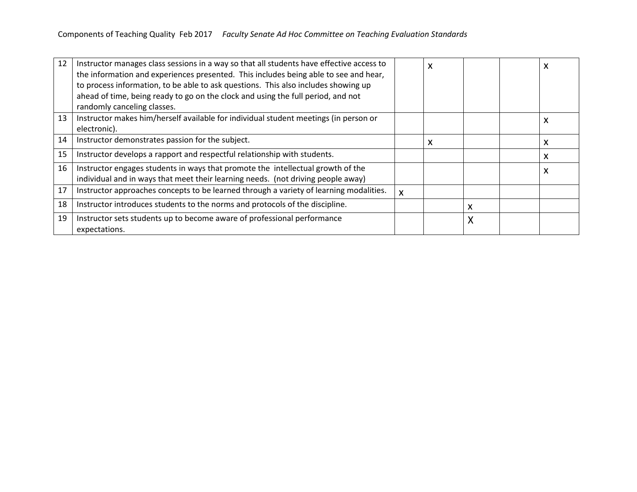| 12 | Instructor manages class sessions in a way so that all students have effective access to<br>the information and experiences presented. This includes being able to see and hear,<br>to process information, to be able to ask questions. This also includes showing up<br>ahead of time, being ready to go on the clock and using the full period, and not<br>randomly canceling classes. |   | X |   |   |
|----|-------------------------------------------------------------------------------------------------------------------------------------------------------------------------------------------------------------------------------------------------------------------------------------------------------------------------------------------------------------------------------------------|---|---|---|---|
| 13 | Instructor makes him/herself available for individual student meetings (in person or<br>electronic).                                                                                                                                                                                                                                                                                      |   |   |   | X |
| 14 | Instructor demonstrates passion for the subject.                                                                                                                                                                                                                                                                                                                                          |   | x |   | x |
| 15 | Instructor develops a rapport and respectful relationship with students.                                                                                                                                                                                                                                                                                                                  |   |   |   | x |
| 16 | Instructor engages students in ways that promote the intellectual growth of the<br>individual and in ways that meet their learning needs. (not driving people away)                                                                                                                                                                                                                       |   |   |   | X |
| 17 | Instructor approaches concepts to be learned through a variety of learning modalities.                                                                                                                                                                                                                                                                                                    | X |   |   |   |
| 18 | Instructor introduces students to the norms and protocols of the discipline.                                                                                                                                                                                                                                                                                                              |   |   |   |   |
| 19 | Instructor sets students up to become aware of professional performance<br>expectations.                                                                                                                                                                                                                                                                                                  |   |   | Χ |   |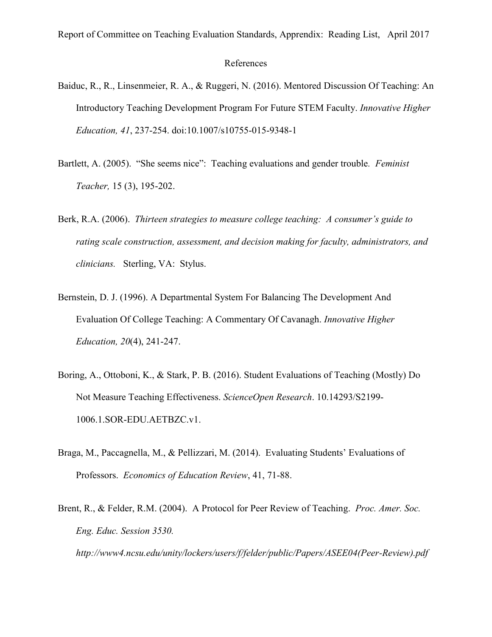Report of Committee on Teaching Evaluation Standards, Apprendix: Reading List, April 2017

### References

- Baiduc, R., R., Linsenmeier, R. A., & Ruggeri, N. (2016). Mentored Discussion Of Teaching: An Introductory Teaching Development Program For Future STEM Faculty. *Innovative Higher Education, 41*, 237-254. doi:10.1007/s10755-015-9348-1
- Bartlett, A. (2005). "She seems nice": Teaching evaluations and gender trouble*. Feminist Teacher,* 15 (3), 195-202.
- Berk, R.A. (2006). *Thirteen strategies to measure college teaching: A consumer's guide to rating scale construction, assessment, and decision making for faculty, administrators, and clinicians.* Sterling, VA: Stylus.
- Bernstein, D. J. (1996). A Departmental System For Balancing The Development And Evaluation Of College Teaching: A Commentary Of Cavanagh. *Innovative Higher Education, 20*(4), 241-247.
- Boring, A., Ottoboni, K., & Stark, P. B. (2016). Student Evaluations of Teaching (Mostly) Do Not Measure Teaching Effectiveness. *ScienceOpen Research*. 10.14293/S2199- 1006.1.SOR-EDU.AETBZC.v1.
- Braga, M., Paccagnella, M., & Pellizzari, M. (2014). Evaluating Students' Evaluations of Professors. *Economics of Education Review*, 41, 71-88.
- Brent, R., & Felder, R.M. (2004). A Protocol for Peer Review of Teaching. *Proc. Amer. Soc. Eng. Educ. Session 3530. http://www4.ncsu.edu/unity/lockers/users/f/felder/public/Papers/ASEE04(Peer-Review).pdf*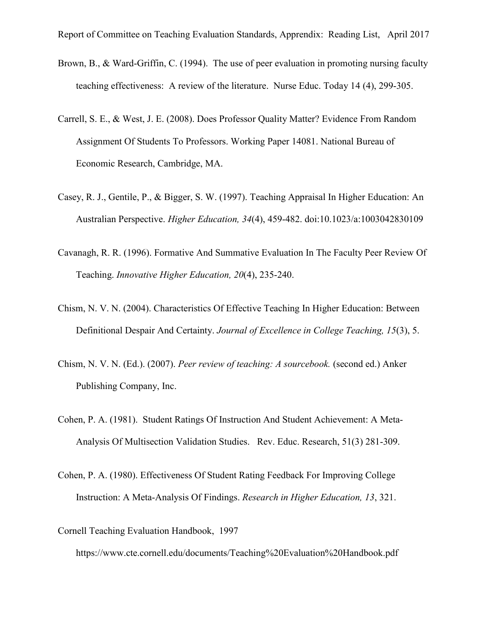- Brown, B., & Ward-Griffin, C. (1994). The use of peer evaluation in promoting nursing faculty teaching effectiveness: A review of the literature. Nurse Educ. Today 14 (4), 299-305.
- Carrell, S. E., & West, J. E. (2008). Does Professor Quality Matter? Evidence From Random Assignment Of Students To Professors. Working Paper 14081. National Bureau of Economic Research, Cambridge, MA.
- Casey, R. J., Gentile, P., & Bigger, S. W. (1997). Teaching Appraisal In Higher Education: An Australian Perspective. *Higher Education, 34*(4), 459-482. doi:10.1023/a:1003042830109
- Cavanagh, R. R. (1996). Formative And Summative Evaluation In The Faculty Peer Review Of Teaching. *Innovative Higher Education, 20*(4), 235-240.
- Chism, N. V. N. (2004). Characteristics Of Effective Teaching In Higher Education: Between Definitional Despair And Certainty. *Journal of Excellence in College Teaching, 15*(3), 5.
- Chism, N. V. N. (Ed.). (2007). *Peer review of teaching: A sourcebook.* (second ed.) Anker Publishing Company, Inc.
- Cohen, P. A. (1981). Student Ratings Of Instruction And Student Achievement: A Meta-Analysis Of Multisection Validation Studies. Rev. Educ. Research, 51(3) 281-309.
- Cohen, P. A. (1980). Effectiveness Of Student Rating Feedback For Improving College Instruction: A Meta-Analysis Of Findings. *Research in Higher Education, 13*, 321.
- Cornell Teaching Evaluation Handbook, 1997

https://www.cte.cornell.edu/documents/Teaching%20Evaluation%20Handbook.pdf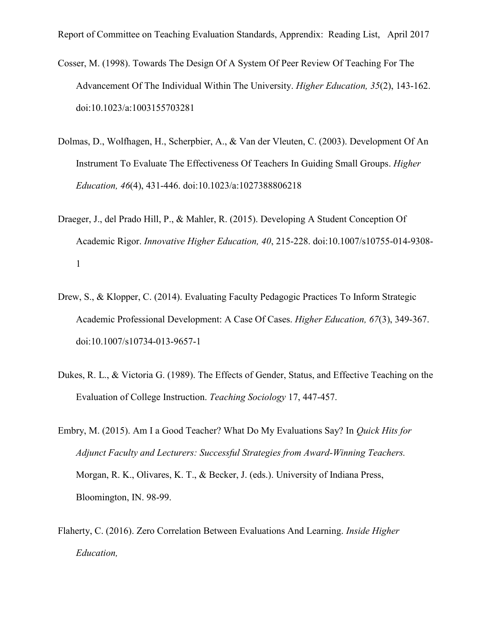- Cosser, M. (1998). Towards The Design Of A System Of Peer Review Of Teaching For The Advancement Of The Individual Within The University. *Higher Education, 35*(2), 143-162. doi:10.1023/a:1003155703281
- Dolmas, D., Wolfhagen, H., Scherpbier, A., & Van der Vleuten, C. (2003). Development Of An Instrument To Evaluate The Effectiveness Of Teachers In Guiding Small Groups. *Higher Education, 46*(4), 431-446. doi:10.1023/a:1027388806218
- Draeger, J., del Prado Hill, P., & Mahler, R. (2015). Developing A Student Conception Of Academic Rigor. *Innovative Higher Education, 40*, 215-228. doi:10.1007/s10755-014-9308- 1
- Drew, S., & Klopper, C. (2014). Evaluating Faculty Pedagogic Practices To Inform Strategic Academic Professional Development: A Case Of Cases. *Higher Education, 67*(3), 349-367. doi:10.1007/s10734-013-9657-1
- Dukes, R. L., & Victoria G. (1989). The Effects of Gender, Status, and Effective Teaching on the Evaluation of College Instruction. *Teaching Sociology* 17, 447-457.
- Embry, M. (2015). Am I a Good Teacher? What Do My Evaluations Say? In *Quick Hits for Adjunct Faculty and Lecturers: Successful Strategies from Award-Winning Teachers.* Morgan, R. K., Olivares, K. T., & Becker, J. (eds.). University of Indiana Press, Bloomington, IN. 98-99.
- Flaherty, C. (2016). Zero Correlation Between Evaluations And Learning. *Inside Higher Education,*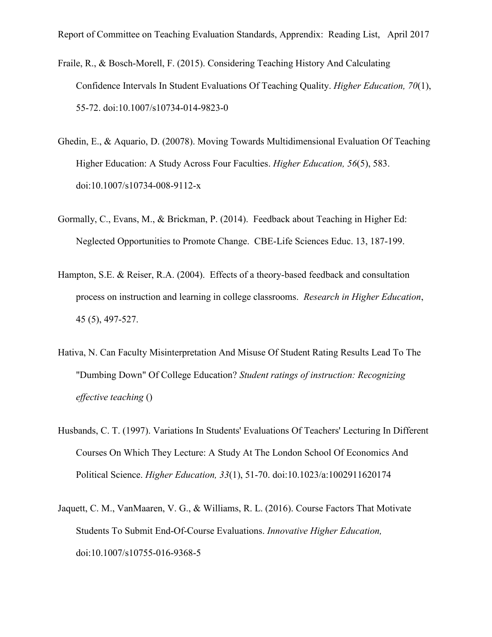- Fraile, R., & Bosch-Morell, F. (2015). Considering Teaching History And Calculating Confidence Intervals In Student Evaluations Of Teaching Quality. *Higher Education, 70*(1), 55-72. doi:10.1007/s10734-014-9823-0
- Ghedin, E., & Aquario, D. (20078). Moving Towards Multidimensional Evaluation Of Teaching Higher Education: A Study Across Four Faculties. *Higher Education, 56*(5), 583. doi:10.1007/s10734-008-9112-x
- Gormally, C., Evans, M., & Brickman, P. (2014). Feedback about Teaching in Higher Ed: Neglected Opportunities to Promote Change. CBE-Life Sciences Educ. 13, 187-199.
- Hampton, S.E. & Reiser, R.A. (2004). Effects of a theory-based feedback and consultation process on instruction and learning in college classrooms. *Research in Higher Education*, 45 (5), 497-527.
- Hativa, N. Can Faculty Misinterpretation And Misuse Of Student Rating Results Lead To The "Dumbing Down" Of College Education? *Student ratings of instruction: Recognizing effective teaching* ()
- Husbands, C. T. (1997). Variations In Students' Evaluations Of Teachers' Lecturing In Different Courses On Which They Lecture: A Study At The London School Of Economics And Political Science. *Higher Education, 33*(1), 51-70. doi:10.1023/a:1002911620174
- Jaquett, C. M., VanMaaren, V. G., & Williams, R. L. (2016). Course Factors That Motivate Students To Submit End-Of-Course Evaluations. *Innovative Higher Education,*  doi:10.1007/s10755-016-9368-5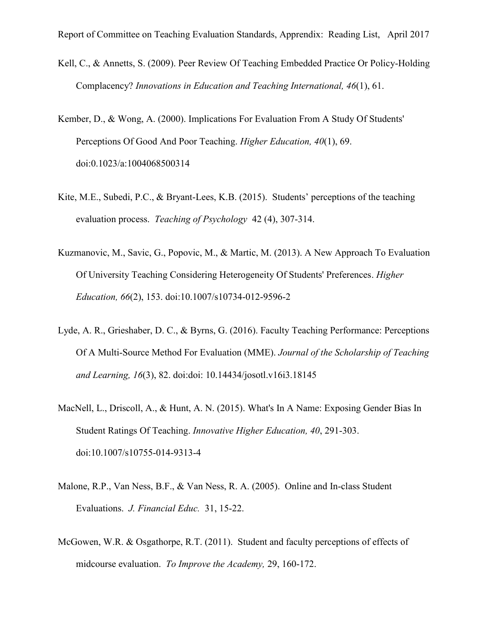- Kell, C., & Annetts, S. (2009). Peer Review Of Teaching Embedded Practice Or Policy-Holding Complacency? *Innovations in Education and Teaching International, 46*(1), 61.
- Kember, D., & Wong, A. (2000). Implications For Evaluation From A Study Of Students' Perceptions Of Good And Poor Teaching. *Higher Education, 40*(1), 69. doi:0.1023/a:1004068500314
- Kite, M.E., Subedi, P.C., & Bryant-Lees, K.B. (2015). Students' perceptions of the teaching evaluation process. *Teaching of Psychology* 42 (4), 307-314.
- Kuzmanovic, M., Savic, G., Popovic, M., & Martic, M. (2013). A New Approach To Evaluation Of University Teaching Considering Heterogeneity Of Students' Preferences. *Higher Education, 66*(2), 153. doi:10.1007/s10734-012-9596-2
- Lyde, A. R., Grieshaber, D. C., & Byrns, G. (2016). Faculty Teaching Performance: Perceptions Of A Multi-Source Method For Evaluation (MME). *Journal of the Scholarship of Teaching and Learning, 16*(3), 82. doi:doi: 10.14434/josotl.v16i3.18145
- MacNell, L., Driscoll, A., & Hunt, A. N. (2015). What's In A Name: Exposing Gender Bias In Student Ratings Of Teaching. *Innovative Higher Education, 40*, 291-303. doi:10.1007/s10755-014-9313-4
- Malone, R.P., Van Ness, B.F., & Van Ness, R. A. (2005). Online and In-class Student Evaluations. *J. Financial Educ.* 31, 15-22.
- McGowen, W.R. & Osgathorpe, R.T. (2011). Student and faculty perceptions of effects of midcourse evaluation. *To Improve the Academy,* 29, 160-172.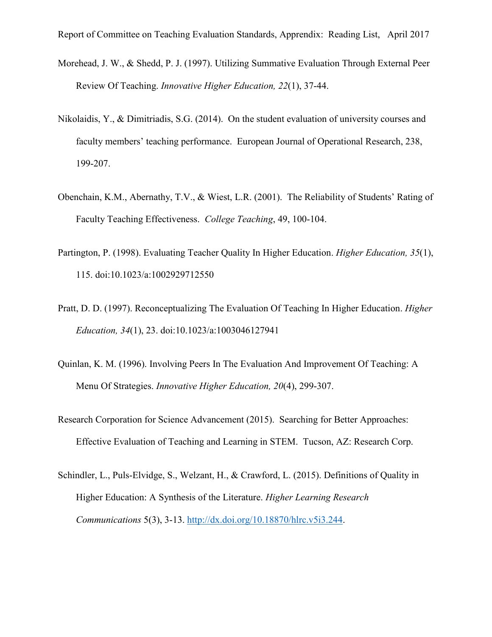- Morehead, J. W., & Shedd, P. J. (1997). Utilizing Summative Evaluation Through External Peer Review Of Teaching. *Innovative Higher Education, 22*(1), 37-44.
- Nikolaidis, Y., & Dimitriadis, S.G. (2014). On the student evaluation of university courses and faculty members' teaching performance. European Journal of Operational Research, 238, 199-207.
- Obenchain, K.M., Abernathy, T.V., & Wiest, L.R. (2001). The Reliability of Students' Rating of Faculty Teaching Effectiveness. *College Teaching*, 49, 100-104.
- Partington, P. (1998). Evaluating Teacher Quality In Higher Education. *Higher Education, 35*(1), 115. doi:10.1023/a:1002929712550
- Pratt, D. D. (1997). Reconceptualizing The Evaluation Of Teaching In Higher Education. *Higher Education, 34*(1), 23. doi:10.1023/a:1003046127941
- Quinlan, K. M. (1996). Involving Peers In The Evaluation And Improvement Of Teaching: A Menu Of Strategies. *Innovative Higher Education, 20*(4), 299-307.
- Research Corporation for Science Advancement (2015). Searching for Better Approaches: Effective Evaluation of Teaching and Learning in STEM. Tucson, AZ: Research Corp.
- Schindler, L., Puls-Elvidge, S., Welzant, H., & Crawford, L. (2015). Definitions of Quality in Higher Education: A Synthesis of the Literature. *Higher Learning Research Communications* 5(3), 3-13. [http://dx.doi.org/10.18870/hlrc.v5i3.244.](http://dx.doi.org/10.18870/hlrc.v5i3.244)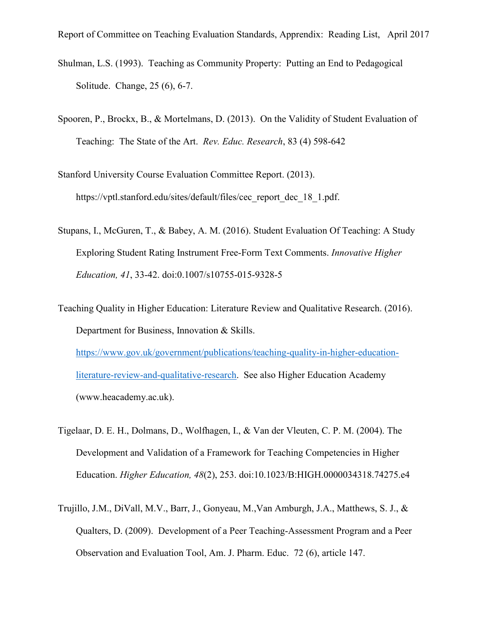Report of Committee on Teaching Evaluation Standards, Apprendix: Reading List, April 2017

- Shulman, L.S. (1993). Teaching as Community Property: Putting an End to Pedagogical Solitude. Change, 25 (6), 6-7.
- Spooren, P., Brockx, B., & Mortelmans, D. (2013). On the Validity of Student Evaluation of Teaching: The State of the Art. *Rev. Educ. Research*, 83 (4) 598-642
- Stanford University Course Evaluation Committee Report. (2013). https://vptl.stanford.edu/sites/default/files/cec\_report\_dec\_18\_1.pdf.
- Stupans, I., McGuren, T., & Babey, A. M. (2016). Student Evaluation Of Teaching: A Study Exploring Student Rating Instrument Free-Form Text Comments. *Innovative Higher Education, 41*, 33-42. doi:0.1007/s10755-015-9328-5
- Teaching Quality in Higher Education: Literature Review and Qualitative Research. (2016). Department for Business, Innovation & Skills. [https://www.gov.uk/government/publications/teaching-quality-in-higher-education](https://www.gov.uk/government/publications/teaching-quality-in-higher-education-literature-review-and-qualitative-research)[literature-review-and-qualitative-research.](https://www.gov.uk/government/publications/teaching-quality-in-higher-education-literature-review-and-qualitative-research) See also Higher Education Academy (www.heacademy.ac.uk).
- Tigelaar, D. E. H., Dolmans, D., Wolfhagen, I., & Van der Vleuten, C. P. M. (2004). The Development and Validation of a Framework for Teaching Competencies in Higher Education. *Higher Education, 48*(2), 253. doi:10.1023/B:HIGH.0000034318.74275.e4
- Trujillo, J.M., DiVall, M.V., Barr, J., Gonyeau, M.,Van Amburgh, J.A., Matthews, S. J., & Qualters, D. (2009). Development of a Peer Teaching-Assessment Program and a Peer Observation and Evaluation Tool, Am. J. Pharm. Educ. 72 (6), article 147.